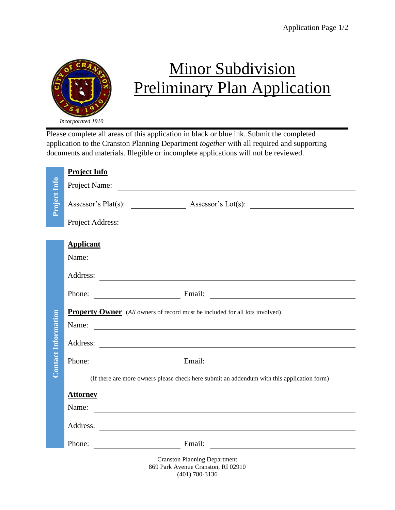

## Minor Subdivision Preliminary Plan Application

*Incorporated 1910*

Please complete all areas of this application in black or blue ink. Submit the completed application to the Cranston Planning Department *together* with all required and supporting documents and materials. Illegible or incomplete applications will not be reviewed.

|                            | <b>Project Info</b>                                                                                                                                                                                                           |
|----------------------------|-------------------------------------------------------------------------------------------------------------------------------------------------------------------------------------------------------------------------------|
|                            | Project Name:                                                                                                                                                                                                                 |
| Project Info               |                                                                                                                                                                                                                               |
|                            |                                                                                                                                                                                                                               |
|                            | <b>Applicant</b><br>Name: Name:                                                                                                                                                                                               |
|                            |                                                                                                                                                                                                                               |
|                            | Phone: Email: Email: Email: 2007                                                                                                                                                                                              |
| <b>Contact Information</b> | <b>Property Owner</b> (All owners of record must be included for all lots involved)<br>Name:<br><u> 1989 - Johann John Stein, markin film yn y brening yn y brening yn y brening yn y brening y brening yn y bre</u>          |
|                            |                                                                                                                                                                                                                               |
|                            | Phone: Email: Email:                                                                                                                                                                                                          |
|                            | (If there are more owners please check here submit an addendum with this application form)                                                                                                                                    |
|                            | <b>Attorney</b><br>Name:                                                                                                                                                                                                      |
|                            |                                                                                                                                                                                                                               |
|                            | Phone: Email: Email: 2008. Email: 2009. Email: 2009. Email: 2009. Email: 2009. Email: 2009. Email: 2009. Email: 2009. Email: 2009. Email: 2009. Email: 2009. Email: 2009. Email: 2009. Email: 2009. Email: 2009. Email: 2009. |
|                            | <b>Cranston Planning Department</b><br>869 Park Avenue Cranston, RI 02910                                                                                                                                                     |

(401) 780-3136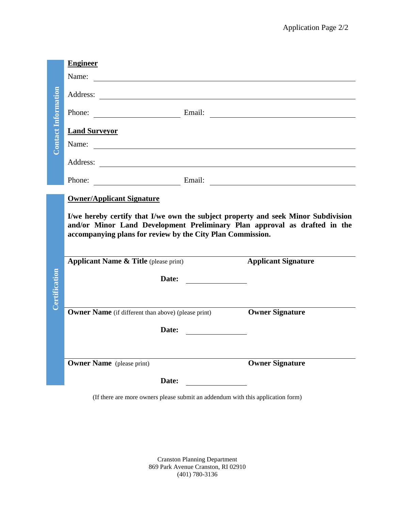|                    | <b>Engineer</b>                                                                                                                                                                                                              |                                                                                                                      |                            |
|--------------------|------------------------------------------------------------------------------------------------------------------------------------------------------------------------------------------------------------------------------|----------------------------------------------------------------------------------------------------------------------|----------------------------|
| ontact Information | Name:                                                                                                                                                                                                                        |                                                                                                                      |                            |
|                    | Address:<br><u> 1989 - Johann Barn, mars eta bainar eta bainar eta baina eta baina eta baina eta baina eta baina eta baina e</u>                                                                                             |                                                                                                                      |                            |
|                    |                                                                                                                                                                                                                              |                                                                                                                      |                            |
|                    | <b>Land Surveyor</b>                                                                                                                                                                                                         |                                                                                                                      |                            |
|                    | Name:                                                                                                                                                                                                                        |                                                                                                                      |                            |
|                    |                                                                                                                                                                                                                              |                                                                                                                      |                            |
|                    | Phone: Email: Email:                                                                                                                                                                                                         |                                                                                                                      |                            |
|                    | <b>Owner/Applicant Signature</b>                                                                                                                                                                                             |                                                                                                                      |                            |
|                    |                                                                                                                                                                                                                              |                                                                                                                      |                            |
|                    | I/we hereby certify that I/we own the subject property and seek Minor Subdivision<br>and/or Minor Land Development Preliminary Plan approval as drafted in the<br>accompanying plans for review by the City Plan Commission. |                                                                                                                      |                            |
|                    | <b>Applicant Name &amp; Title</b> (please print)                                                                                                                                                                             |                                                                                                                      | <b>Applicant Signature</b> |
|                    | Date:                                                                                                                                                                                                                        | <u> 1980 - Jan Barbara Barbara, prima prima prima prima prima prima prima prima prima prima prima prima prima pr</u> |                            |
|                    |                                                                                                                                                                                                                              |                                                                                                                      |                            |
| Certification      | <b>Owner Name</b> (if different than above) (please print)                                                                                                                                                                   |                                                                                                                      | <b>Owner Signature</b>     |
|                    | Date:                                                                                                                                                                                                                        |                                                                                                                      |                            |
|                    |                                                                                                                                                                                                                              |                                                                                                                      |                            |
|                    | <b>Owner Name</b> (please print)                                                                                                                                                                                             |                                                                                                                      | <b>Owner Signature</b>     |
|                    | Date:                                                                                                                                                                                                                        |                                                                                                                      |                            |

Cranston Planning Department 869 Park Avenue Cranston, RI 02910 (401) 780-3136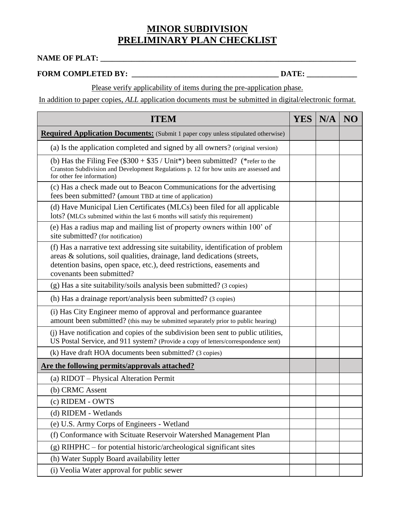## **MINOR SUBDIVISION PRELIMINARY PLAN CHECKLIST**

## **NAME OF PLAT: \_\_\_\_\_\_\_\_\_\_\_\_\_\_\_\_\_\_\_\_\_\_\_\_\_\_\_\_\_\_\_\_\_\_\_\_\_\_\_\_\_\_\_\_\_\_\_\_\_\_\_\_\_\_\_\_\_\_\_\_\_\_\_\_\_\_**

## **FORM COMPLETED BY: \_\_\_\_\_\_\_\_\_\_\_\_\_\_\_\_\_\_\_\_\_\_\_\_\_\_\_\_\_\_\_\_\_\_\_\_\_\_ DATE: \_\_\_\_\_\_\_\_\_\_\_\_\_**

Please verify applicability of items during the pre-application phase.

In addition to paper copies, *ALL* application documents must be submitted in digital/electronic format.

| <b>ITEM</b>                                                                                                                                                                                                                                                      | <b>YES</b> | N/A | NO |
|------------------------------------------------------------------------------------------------------------------------------------------------------------------------------------------------------------------------------------------------------------------|------------|-----|----|
| <b>Required Application Documents:</b> (Submit 1 paper copy unless stipulated otherwise)                                                                                                                                                                         |            |     |    |
| (a) Is the application completed and signed by all owners? (original version)                                                                                                                                                                                    |            |     |    |
| (b) Has the Filing Fee $(\$300 + \$35 / \text{Unit*})$ been submitted? (*refer to the<br>Cranston Subdivision and Development Regulations p. 12 for how units are assessed and<br>for other fee information)                                                     |            |     |    |
| (c) Has a check made out to Beacon Communications for the advertising<br>fees been submitted? (amount TBD at time of application)                                                                                                                                |            |     |    |
| (d) Have Municipal Lien Certificates (MLCs) been filed for all applicable<br>lots? (MLCs submitted within the last 6 months will satisfy this requirement)                                                                                                       |            |     |    |
| (e) Has a radius map and mailing list of property owners within 100' of<br>site submitted? (for notification)                                                                                                                                                    |            |     |    |
| (f) Has a narrative text addressing site suitability, identification of problem<br>areas & solutions, soil qualities, drainage, land dedications (streets,<br>detention basins, open space, etc.), deed restrictions, easements and<br>covenants been submitted? |            |     |    |
| (g) Has a site suitability/soils analysis been submitted? (3 copies)                                                                                                                                                                                             |            |     |    |
| (h) Has a drainage report/analysis been submitted? (3 copies)                                                                                                                                                                                                    |            |     |    |
| (i) Has City Engineer memo of approval and performance guarantee<br>amount been submitted? (this may be submitted separately prior to public hearing)                                                                                                            |            |     |    |
| (j) Have notification and copies of the subdivision been sent to public utilities,<br>US Postal Service, and 911 system? (Provide a copy of letters/correspondence sent)                                                                                         |            |     |    |
| (k) Have draft HOA documents been submitted? (3 copies)                                                                                                                                                                                                          |            |     |    |
| Are the following permits/approvals attached?                                                                                                                                                                                                                    |            |     |    |
| (a) RIDOT – Physical Alteration Permit                                                                                                                                                                                                                           |            |     |    |
| (b) CRMC Assent                                                                                                                                                                                                                                                  |            |     |    |
| (c) RIDEM - OWTS                                                                                                                                                                                                                                                 |            |     |    |
| (d) RIDEM - Wetlands                                                                                                                                                                                                                                             |            |     |    |
| (e) U.S. Army Corps of Engineers - Wetland                                                                                                                                                                                                                       |            |     |    |
| (f) Conformance with Scituate Reservoir Watershed Management Plan                                                                                                                                                                                                |            |     |    |
| $(g)$ RIHPHC – for potential historic/archeological significant sites                                                                                                                                                                                            |            |     |    |
| (h) Water Supply Board availability letter                                                                                                                                                                                                                       |            |     |    |
| (i) Veolia Water approval for public sewer                                                                                                                                                                                                                       |            |     |    |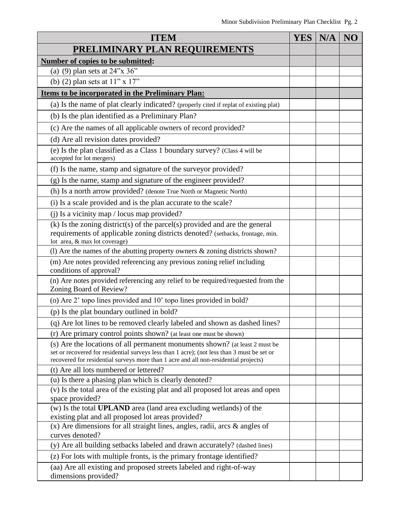| <b>ITEM</b>                                                                                                                                                                                                                                                        | YES N/A | NO |
|--------------------------------------------------------------------------------------------------------------------------------------------------------------------------------------------------------------------------------------------------------------------|---------|----|
| PRELIMINARY PLAN REQUIREMENTS                                                                                                                                                                                                                                      |         |    |
| Number of copies to be submitted:                                                                                                                                                                                                                                  |         |    |
| (a) (9) plan sets at $24$ "x $36$ "                                                                                                                                                                                                                                |         |    |
| (b) (2) plan sets at $11$ " x $17$ "                                                                                                                                                                                                                               |         |    |
| <b>Items to be incorporated in the Preliminary Plan:</b>                                                                                                                                                                                                           |         |    |
| (a) Is the name of plat clearly indicated? (properly cited if replat of existing plat)                                                                                                                                                                             |         |    |
| (b) Is the plan identified as a Preliminary Plan?                                                                                                                                                                                                                  |         |    |
| (c) Are the names of all applicable owners of record provided?                                                                                                                                                                                                     |         |    |
| (d) Are all revision dates provided?                                                                                                                                                                                                                               |         |    |
| (e) Is the plan classified as a Class 1 boundary survey? (Class 4 will be<br>accepted for lot mergers)                                                                                                                                                             |         |    |
| (f) Is the name, stamp and signature of the surveyor provided?                                                                                                                                                                                                     |         |    |
| (g) Is the name, stamp and signature of the engineer provided?                                                                                                                                                                                                     |         |    |
| (h) Is a north arrow provided? (denote True North or Magnetic North)                                                                                                                                                                                               |         |    |
| (i) Is a scale provided and is the plan accurate to the scale?                                                                                                                                                                                                     |         |    |
| (j) Is a vicinity map / locus map provided?                                                                                                                                                                                                                        |         |    |
| $(k)$ Is the zoning district(s) of the parcel(s) provided and are the general<br>requirements of applicable zoning districts denoted? (setbacks, frontage, min.<br>lot area, & max lot coverage)                                                                   |         |    |
| (1) Are the names of the abutting property owners $&$ zoning districts shown?                                                                                                                                                                                      |         |    |
| (m) Are notes provided referencing any previous zoning relief including<br>conditions of approval?                                                                                                                                                                 |         |    |
| (n) Are notes provided referencing any relief to be required/requested from the<br>Zoning Board of Review?                                                                                                                                                         |         |    |
| (o) Are 2' topo lines provided and 10' topo lines provided in bold?                                                                                                                                                                                                |         |    |
| (p) Is the plat boundary outlined in bold?                                                                                                                                                                                                                         |         |    |
| (q) Are lot lines to be removed clearly labeled and shown as dashed lines?                                                                                                                                                                                         |         |    |
| (r) Are primary control points shown? (at least one must be shown)                                                                                                                                                                                                 |         |    |
| (s) Are the locations of all permanent monuments shown? (at least 2 must be<br>set or recovered for residential surveys less than 1 acre); (not less than 3 must be set or<br>recovered for residential surveys more than 1 acre and all non-residential projects) |         |    |
| (t) Are all lots numbered or lettered?                                                                                                                                                                                                                             |         |    |
| (u) Is there a phasing plan which is clearly denoted?                                                                                                                                                                                                              |         |    |
| (v) Is the total area of the existing plat and all proposed lot areas and open<br>space provided?                                                                                                                                                                  |         |    |
| (w) Is the total <b>UPLAND</b> area (land area excluding wetlands) of the<br>existing plat and all proposed lot areas provided?                                                                                                                                    |         |    |
| $(x)$ Are dimensions for all straight lines, angles, radii, arcs $\&$ angles of<br>curves denoted?                                                                                                                                                                 |         |    |
| (y) Are all building setbacks labeled and drawn accurately? (dashed lines)                                                                                                                                                                                         |         |    |
| (z) For lots with multiple fronts, is the primary frontage identified?                                                                                                                                                                                             |         |    |
| (aa) Are all existing and proposed streets labeled and right-of-way<br>dimensions provided?                                                                                                                                                                        |         |    |